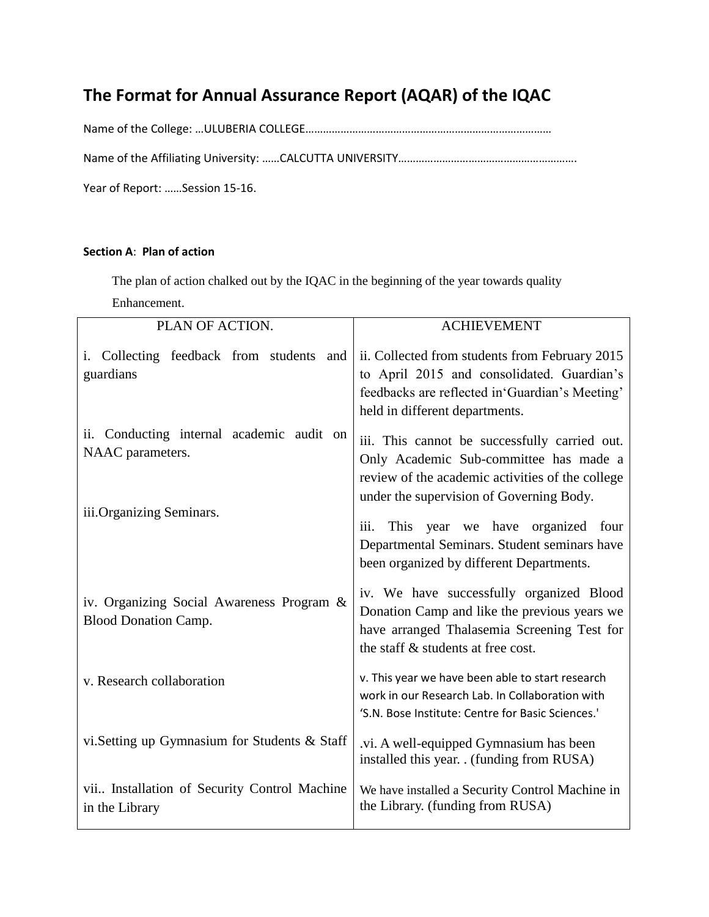# **The Format for Annual Assurance Report (AQAR) of the IQAC**

Name of the College: …ULUBERIA COLLEGE…………………………………………………………………………

Name of the Affiliating University: ……CALCUTTA UNIVERSITY……………………………………………………………

Year of Report: ……Session 15-16.

### **Section A**: **Plan of action**

The plan of action chalked out by the IQAC in the beginning of the year towards quality

Enhancement.

| PLAN OF ACTION.                                                          | <b>ACHIEVEMENT</b>                                                                                                                                                                      |  |  |
|--------------------------------------------------------------------------|-----------------------------------------------------------------------------------------------------------------------------------------------------------------------------------------|--|--|
| Collecting feedback from students and<br>guardians                       | ii. Collected from students from February 2015<br>to April 2015 and consolidated. Guardian's<br>feedbacks are reflected in 'Guardian's Meeting'<br>held in different departments.       |  |  |
| ii. Conducting internal academic audit on<br>NAAC parameters.            | iii. This cannot be successfully carried out.<br>Only Academic Sub-committee has made a<br>review of the academic activities of the college<br>under the supervision of Governing Body. |  |  |
| iii. Organizing Seminars.                                                | This year we have organized four<br>$\overline{111}$ .<br>Departmental Seminars. Student seminars have<br>been organized by different Departments.                                      |  |  |
| iv. Organizing Social Awareness Program &<br><b>Blood Donation Camp.</b> | iv. We have successfully organized Blood<br>Donation Camp and like the previous years we<br>have arranged Thalasemia Screening Test for<br>the staff & students at free cost.           |  |  |
| v. Research collaboration                                                | v. This year we have been able to start research<br>work in our Research Lab. In Collaboration with<br>'S.N. Bose Institute: Centre for Basic Sciences.'                                |  |  |
| vi.Setting up Gymnasium for Students & Staff                             | .vi. A well-equipped Gymnasium has been<br>installed this year. . (funding from RUSA)                                                                                                   |  |  |
| vii Installation of Security Control Machine<br>in the Library           | We have installed a Security Control Machine in<br>the Library. (funding from RUSA)                                                                                                     |  |  |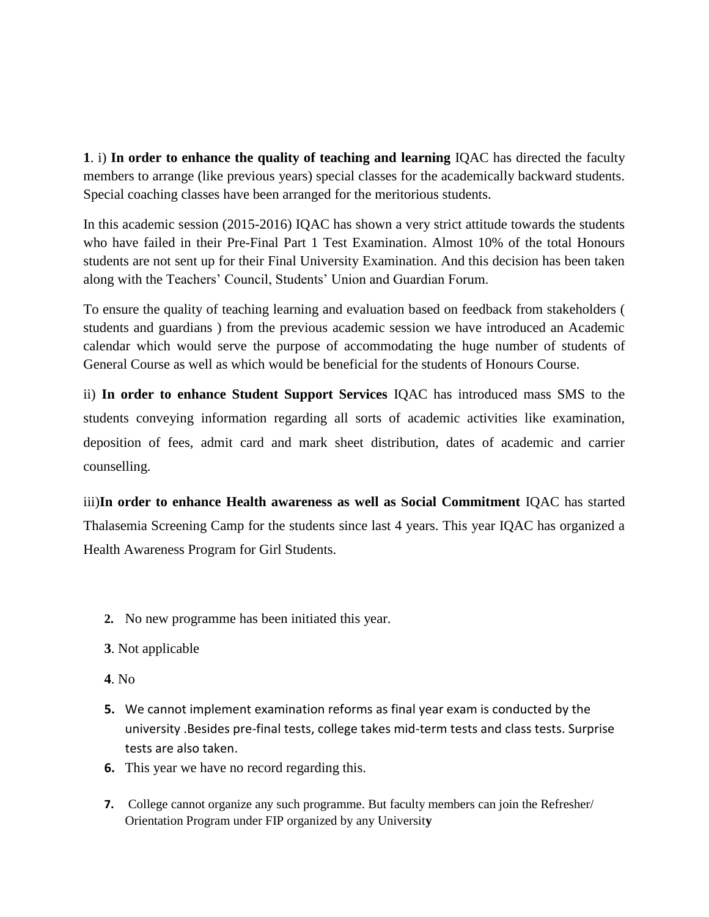**1**. i) **In order to enhance the quality of teaching and learning** IQAC has directed the faculty members to arrange (like previous years) special classes for the academically backward students. Special coaching classes have been arranged for the meritorious students.

In this academic session (2015-2016) IQAC has shown a very strict attitude towards the students who have failed in their Pre-Final Part 1 Test Examination. Almost 10% of the total Honours students are not sent up for their Final University Examination. And this decision has been taken along with the Teachers' Council, Students' Union and Guardian Forum.

To ensure the quality of teaching learning and evaluation based on feedback from stakeholders ( students and guardians ) from the previous academic session we have introduced an Academic calendar which would serve the purpose of accommodating the huge number of students of General Course as well as which would be beneficial for the students of Honours Course.

ii) **In order to enhance Student Support Services** IQAC has introduced mass SMS to the students conveying information regarding all sorts of academic activities like examination, deposition of fees, admit card and mark sheet distribution, dates of academic and carrier counselling.

iii)**In order to enhance Health awareness as well as Social Commitment** IQAC has started Thalasemia Screening Camp for the students since last 4 years. This year IQAC has organized a Health Awareness Program for Girl Students.

- **2.** No new programme has been initiated this year.
- **3**. Not applicable
- **4**. No
- **5.** We cannot implement examination reforms as final year exam is conducted by the university .Besides pre-final tests, college takes mid-term tests and class tests. Surprise tests are also taken.
- **6.** This year we have no record regarding this.
- **7.** College cannot organize any such programme. But faculty members can join the Refresher/ Orientation Program under FIP organized by any Universit**y.**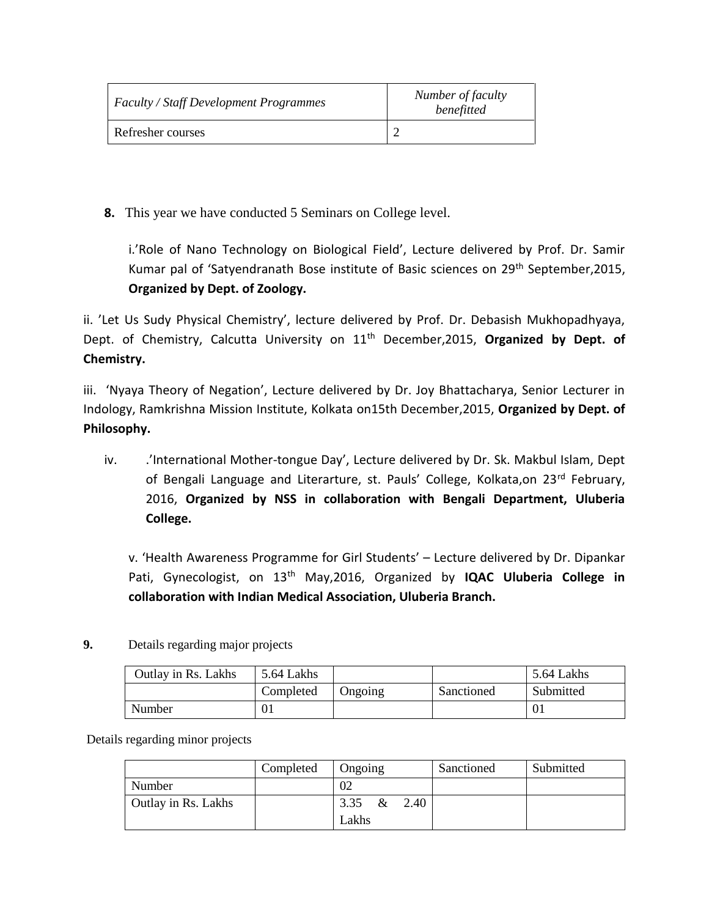| <b>Faculty / Staff Development Programmes</b> | Number of faculty<br>benefitted |  |  |  |
|-----------------------------------------------|---------------------------------|--|--|--|
| Refresher courses                             |                                 |  |  |  |

**8.** This year we have conducted 5 Seminars on College level.

i.'Role of Nano Technology on Biological Field', Lecture delivered by Prof. Dr. Samir Kumar pal of 'Satyendranath Bose institute of Basic sciences on 29th September,2015, **Organized by Dept. of Zoology.**

ii. 'Let Us Sudy Physical Chemistry', lecture delivered by Prof. Dr. Debasish Mukhopadhyaya, Dept. of Chemistry, Calcutta University on 11<sup>th</sup> December, 2015, Organized by Dept. of **Chemistry.**

iii. 'Nyaya Theory of Negation', Lecture delivered by Dr. Joy Bhattacharya, Senior Lecturer in Indology, Ramkrishna Mission Institute, Kolkata on15th December,2015, **Organized by Dept. of Philosophy.**

iv. /International Mother-tongue Day', Lecture delivered by Dr. Sk. Makbul Islam, Dept of Bengali Language and Literarture, st. Pauls' College, Kolkata,on 23<sup>rd</sup> February, 2016, **Organized by NSS in collaboration with Bengali Department, Uluberia College.**

v. 'Health Awareness Programme for Girl Students' – Lecture delivered by Dr. Dipankar Pati, Gynecologist, on 13th May,2016, Organized by **IQAC Uluberia College in collaboration with Indian Medical Association, Uluberia Branch.**

**9.** Details regarding major projects

| Outlay in Rs. Lakhs | 5.64 Lakhs |         |            | 5.64 Lakhs |
|---------------------|------------|---------|------------|------------|
|                     | Completed  | Ongoing | Sanctioned | Submitted  |
| Number              | 01         |         |            | 01         |

Details regarding minor projects

|                     | Completed | Ongoing           | Sanctioned | Submitted |
|---------------------|-----------|-------------------|------------|-----------|
| Number              |           | 02                |            |           |
| Outlay in Rs. Lakhs |           | 2.40<br>&<br>3.35 |            |           |
|                     |           | Lakhs             |            |           |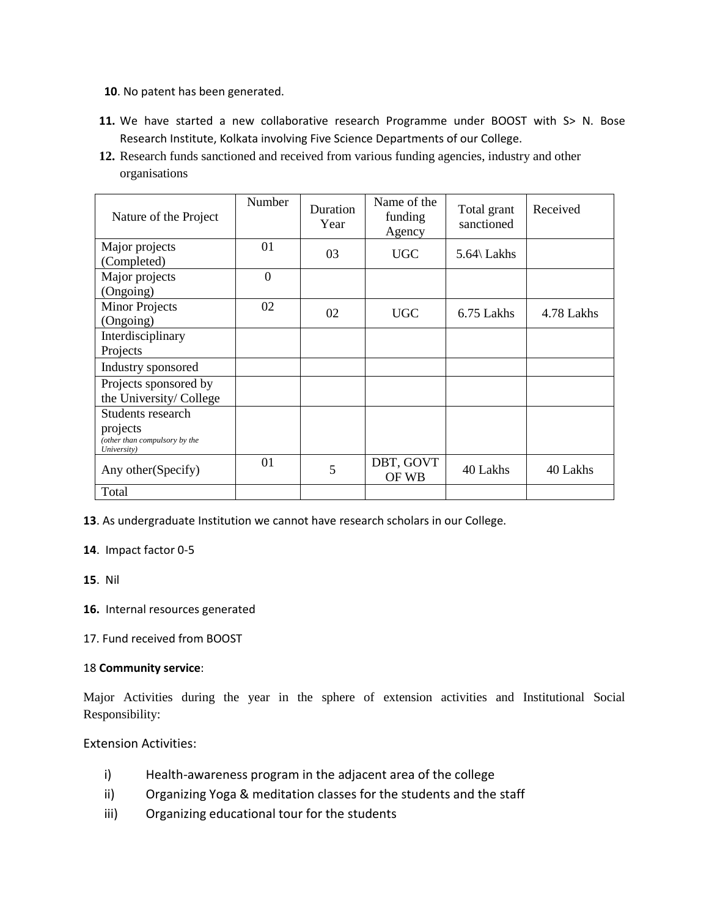- **10**. No patent has been generated.
- 11. We have started a new collaborative research Programme under BOOST with S> N. Bose Research Institute, Kolkata involving Five Science Departments of our College.
- **12.** Research funds sanctioned and received from various funding agencies, industry and other organisations

| Nature of the Project                                    | Number         | Duration<br>Year | Name of the<br>funding<br>Agency | Total grant<br>sanctioned | Received   |
|----------------------------------------------------------|----------------|------------------|----------------------------------|---------------------------|------------|
| Major projects<br>(Completed)                            | 01             | 03               | <b>UGC</b>                       | 5.64\ Lakhs               |            |
| Major projects<br>(Ongoing)                              | $\overline{0}$ |                  |                                  |                           |            |
| <b>Minor Projects</b><br>(Ongoing)                       | 02             | 02               | <b>UGC</b>                       | 6.75 Lakhs                | 4.78 Lakhs |
| Interdisciplinary<br>Projects                            |                |                  |                                  |                           |            |
| Industry sponsored                                       |                |                  |                                  |                           |            |
| Projects sponsored by<br>the University/College          |                |                  |                                  |                           |            |
| Students research                                        |                |                  |                                  |                           |            |
| projects<br>(other than compulsory by the<br>University) |                |                  |                                  |                           |            |
| Any other (Specify)                                      | 01             | 5                | DBT, GOVT<br>OF WB               | 40 Lakhs                  | 40 Lakhs   |
| Total                                                    |                |                  |                                  |                           |            |

**13**. As undergraduate Institution we cannot have research scholars in our College.

#### **14**. Impact factor 0-5

#### **15**. Nil

- **16.** Internal resources generated
- 17. Fund received from BOOST

#### 18 **Community service**:

Major Activities during the year in the sphere of extension activities and Institutional Social Responsibility:

#### Extension Activities:

- i) Health-awareness program in the adjacent area of the college
- ii) Organizing Yoga & meditation classes for the students and the staff
- iii) Organizing educational tour for the students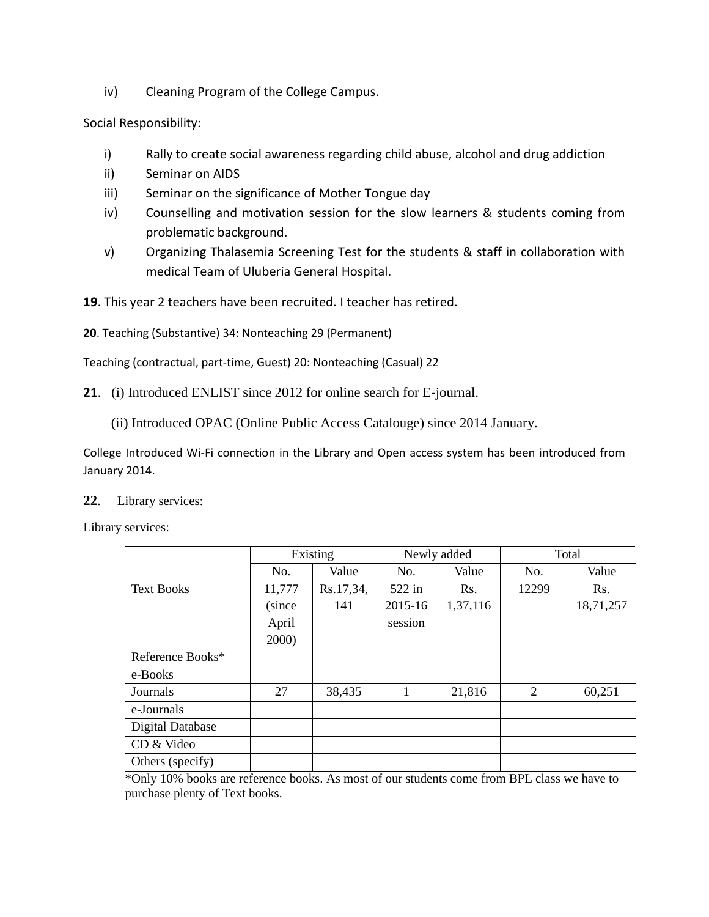iv) Cleaning Program of the College Campus.

Social Responsibility:

- i) Rally to create social awareness regarding child abuse, alcohol and drug addiction
- ii) Seminar on AIDS
- iii) Seminar on the significance of Mother Tongue day
- iv) Counselling and motivation session for the slow learners & students coming from problematic background.
- v) Organizing Thalasemia Screening Test for the students & staff in collaboration with medical Team of Uluberia General Hospital.

**19**. This year 2 teachers have been recruited. I teacher has retired.

**20**. Teaching (Substantive) 34: Nonteaching 29 (Permanent)

Teaching (contractual, part-time, Guest) 20: Nonteaching (Casual) 22

**21**. (i) Introduced ENLIST since 2012 for online search for E-journal.

(ii) Introduced OPAC (Online Public Access Catalouge) since 2014 January.

College Introduced Wi-Fi connection in the Library and Open access system has been introduced from January 2014.

**22**. Library services:

Library services:

|                         | Existing |           | Newly added |          | Total |           |
|-------------------------|----------|-----------|-------------|----------|-------|-----------|
|                         | No.      | Value     | No.         | Value    | No.   | Value     |
| <b>Text Books</b>       | 11,777   | Rs.17,34, | 522 in      | Rs.      | 12299 | Rs.       |
|                         | (since   | 141       | 2015-16     | 1,37,116 |       | 18,71,257 |
|                         | April    |           | session     |          |       |           |
|                         | 2000)    |           |             |          |       |           |
| Reference Books*        |          |           |             |          |       |           |
| e-Books                 |          |           |             |          |       |           |
| Journals                | 27       | 38,435    | 1           | 21,816   | 2     | 60,251    |
| e-Journals              |          |           |             |          |       |           |
| <b>Digital Database</b> |          |           |             |          |       |           |
| CD & Video              |          |           |             |          |       |           |
| Others (specify)        |          |           |             |          |       |           |

\*Only 10% books are reference books. As most of our students come from BPL class we have to purchase plenty of Text books.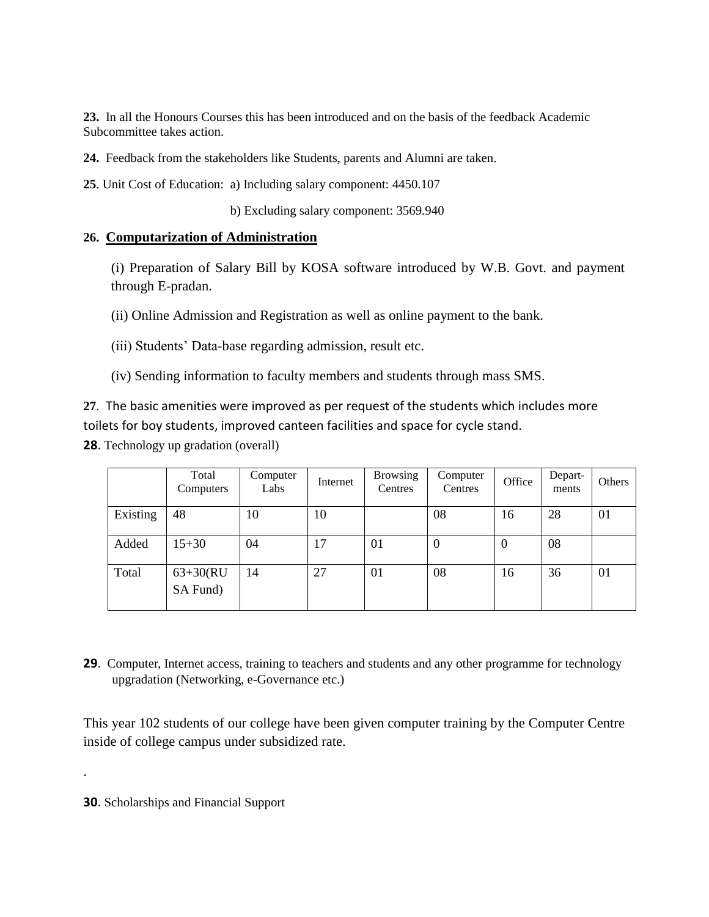**23.** In all the Honours Courses this has been introduced and on the basis of the feedback Academic Subcommittee takes action.

**24.** Feedback from the stakeholders like Students, parents and Alumni are taken.

**25**. Unit Cost of Education: a) Including salary component: 4450.107

b) Excluding salary component: 3569.940

# **26. Computarization of Administration**

(i) Preparation of Salary Bill by KOSA software introduced by W.B. Govt. and payment through E-pradan.

(ii) Online Admission and Registration as well as online payment to the bank.

(iii) Students' Data-base regarding admission, result etc.

(iv) Sending information to faculty members and students through mass SMS.

**27**. The basic amenities were improved as per request of the students which includes more toilets for boy students, improved canteen facilities and space for cycle stand.

**28**. Technology up gradation (overall)

|          | Total<br>Computers      | Computer<br>Labs | Internet | <b>Browsing</b><br>Centres | Computer<br>Centres | Office           | Depart-<br>ments | Others |
|----------|-------------------------|------------------|----------|----------------------------|---------------------|------------------|------------------|--------|
| Existing | 48                      | 10               | 10       |                            | 08                  | 16               | 28               | 01     |
| Added    | $15 + 30$               | 04               | 17       | 01                         | 0                   | $\boldsymbol{0}$ | 08               |        |
| Total    | $63+30(RU)$<br>SA Fund) | 14               | 27       | 01                         | 08                  | 16               | 36               | 01     |

**29**. Computer, Internet access, training to teachers and students and any other programme for technology upgradation (Networking, e-Governance etc.)

This year 102 students of our college have been given computer training by the Computer Centre inside of college campus under subsidized rate.

**30**. Scholarships and Financial Support

.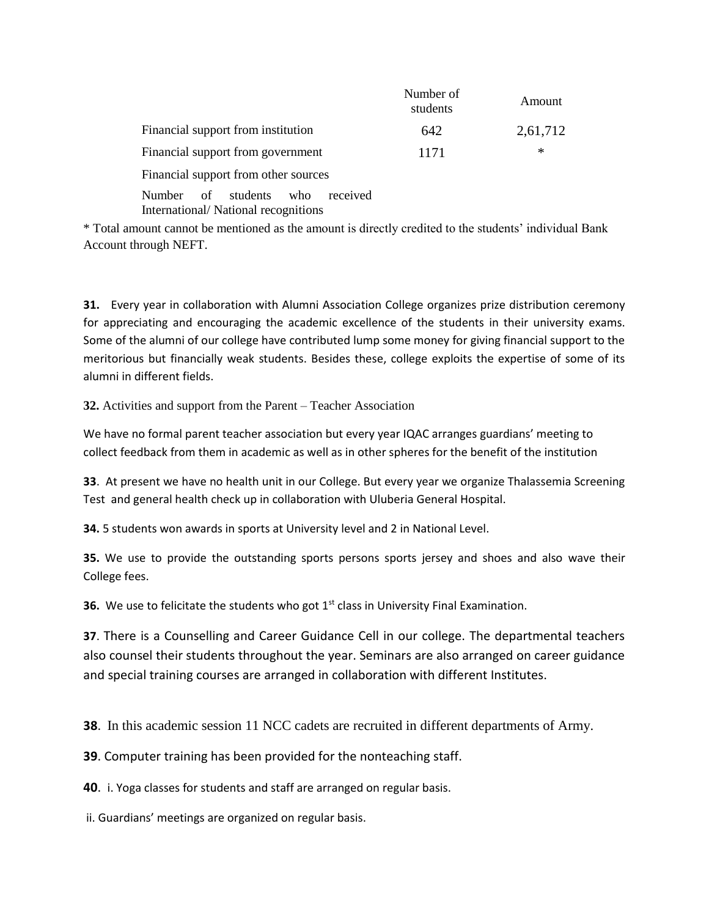|                                                                                           | Number of<br>students | Amount   |
|-------------------------------------------------------------------------------------------|-----------------------|----------|
| Financial support from institution                                                        | 642                   | 2,61,712 |
| Financial support from government                                                         | 1171                  | $\ast$   |
| Financial support from other sources                                                      |                       |          |
| received<br>students<br><b>Number</b><br>of<br>who<br>International/National recognitions |                       |          |

\* Total amount cannot be mentioned as the amount is directly credited to the students' individual Bank Account through NEFT.

**31.** Every year in collaboration with Alumni Association College organizes prize distribution ceremony for appreciating and encouraging the academic excellence of the students in their university exams. Some of the alumni of our college have contributed lump some money for giving financial support to the meritorious but financially weak students. Besides these, college exploits the expertise of some of its alumni in different fields.

**32.** Activities and support from the Parent – Teacher Association

We have no formal parent teacher association but every year IQAC arranges guardians' meeting to collect feedback from them in academic as well as in other spheres for the benefit of the institution

**33**. At present we have no health unit in our College. But every year we organize Thalassemia Screening Test and general health check up in collaboration with Uluberia General Hospital.

**34.** 5 students won awards in sports at University level and 2 in National Level.

**35.** We use to provide the outstanding sports persons sports jersey and shoes and also wave their College fees.

**36.** We use to felicitate the students who got 1<sup>st</sup> class in University Final Examination.

**37**. There is a Counselling and Career Guidance Cell in our college. The departmental teachers also counsel their students throughout the year. Seminars are also arranged on career guidance and special training courses are arranged in collaboration with different Institutes.

**38**. In this academic session 11 NCC cadets are recruited in different departments of Army.

**39**. Computer training has been provided for the nonteaching staff.

**40**. i. Yoga classes for students and staff are arranged on regular basis.

ii. Guardians' meetings are organized on regular basis.